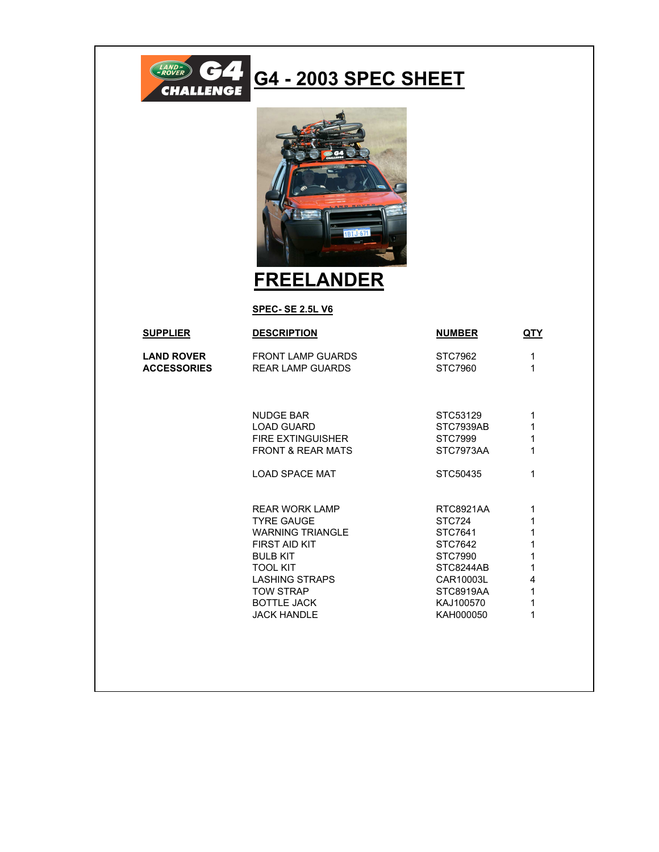

## **G4 - 2003 SPEC SHEET**



**FREELANDER**

**SPEC- SE 2.5L V6**

| <b>SUPPLIER</b>    | <b>DESCRIPTION</b>           | <b>NUMBER</b> | <b>QTY</b>   |
|--------------------|------------------------------|---------------|--------------|
| <b>LAND ROVER</b>  | <b>FRONT LAMP GUARDS</b>     | STC7962       | 1            |
| <b>ACCESSORIES</b> | REAR LAMP GUARDS             | STC7960       | 1            |
|                    |                              |               |              |
|                    | <b>NUDGE BAR</b>             | STC53129      | 1            |
|                    | <b>LOAD GUARD</b>            | STC7939AB     | 1            |
|                    | <b>FIRE EXTINGUISHER</b>     | STC7999       | 1            |
|                    | <b>FRONT &amp; REAR MATS</b> | STC7973AA     | 1            |
|                    | <b>LOAD SPACE MAT</b>        | STC50435      | 1            |
|                    | <b>REAR WORK LAMP</b>        | RTC8921AA     | 1            |
|                    | <b>TYRE GAUGE</b>            | STC724        | 1            |
|                    | <b>WARNING TRIANGLE</b>      | STC7641       | $\mathbf{1}$ |
|                    | FIRST AID KIT                | STC7642       | 1            |
|                    | <b>BULB KIT</b>              | STC7990       | 1            |
|                    | <b>TOOL KIT</b>              | STC8244AB     | 1            |
|                    | LASHING STRAPS               | CAR10003L     | 4            |
|                    | <b>TOW STRAP</b>             | STC8919AA     | 1            |
|                    | <b>BOTTLE JACK</b>           | KAJ100570     | 1            |
|                    | <b>JACK HANDLE</b>           | KAH000050     | 1            |
|                    |                              |               |              |
|                    |                              |               |              |
|                    |                              |               |              |
|                    |                              |               |              |
|                    |                              |               |              |